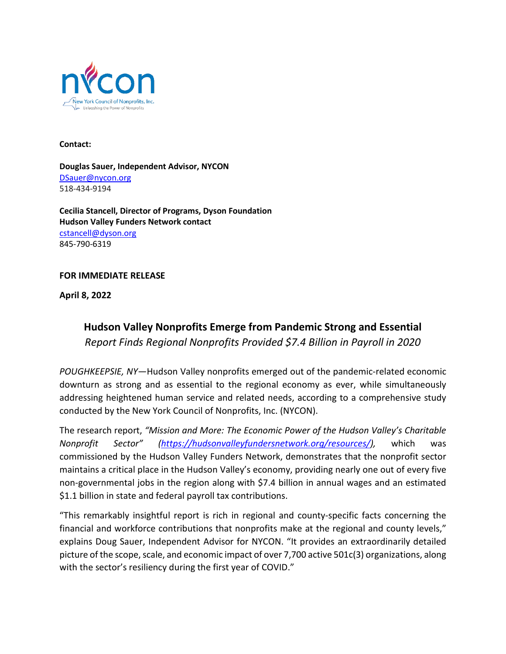

**Contact:** 

**Douglas Sauer, Independent Advisor, NYCON**  [DSauer@nycon.org](mailto:DSauer@nycon.org) 518-434-9194

**Cecilia Stancell, Director of Programs, Dyson Foundation Hudson Valley Funders Network contact** [cstancell@dyson.org](mailto:cstancell@dyson.org) 845-790-6319

## **FOR IMMEDIATE RELEASE**

**April 8, 2022**

## **Hudson Valley Nonprofits Emerge from Pandemic Strong and Essential**

*Report Finds Regional Nonprofits Provided \$7.4 Billion in Payroll in 2020*

*POUGHKEEPSIE, NY—*Hudson Valley nonprofits emerged out of the pandemic-related economic downturn as strong and as essential to the regional economy as ever, while simultaneously addressing heightened human service and related needs, according to a comprehensive study conducted by the New York Council of Nonprofits, Inc. (NYCON).

The research report, *"Mission and More: The Economic Power of the Hudson Valley's Charitable Nonprofit Sector" [\(https://hudsonvalleyfundersnetwork.org/resources/\)](https://hudsonvalleyfundersnetwork.org/resources/),* which was commissioned by the Hudson Valley Funders Network, demonstrates that the nonprofit sector maintains a critical place in the Hudson Valley's economy, providing nearly one out of every five non-governmental jobs in the region along with \$7.4 billion in annual wages and an estimated \$1.1 billion in state and federal payroll tax contributions.

"This remarkably insightful report is rich in regional and county-specific facts concerning the financial and workforce contributions that nonprofits make at the regional and county levels," explains Doug Sauer, Independent Advisor for NYCON. "It provides an extraordinarily detailed picture of the scope, scale, and economic impact of over 7,700 active 501c(3) organizations, along with the sector's resiliency during the first year of COVID."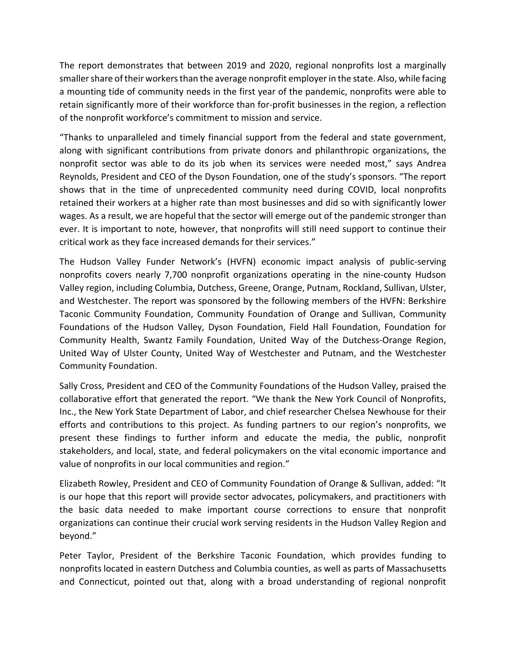The report demonstrates that between 2019 and 2020, regional nonprofits lost a marginally smaller share of their workers than the average nonprofit employer in the state. Also, while facing a mounting tide of community needs in the first year of the pandemic, nonprofits were able to retain significantly more of their workforce than for-profit businesses in the region, a reflection of the nonprofit workforce's commitment to mission and service.

"Thanks to unparalleled and timely financial support from the federal and state government, along with significant contributions from private donors and philanthropic organizations, the nonprofit sector was able to do its job when its services were needed most," says Andrea Reynolds, President and CEO of the Dyson Foundation, one of the study's sponsors. "The report shows that in the time of unprecedented community need during COVID, local nonprofits retained their workers at a higher rate than most businesses and did so with significantly lower wages. As a result, we are hopeful that the sector will emerge out of the pandemic stronger than ever. It is important to note, however, that nonprofits will still need support to continue their critical work as they face increased demands for their services."

The Hudson Valley Funder Network's (HVFN) economic impact analysis of public-serving nonprofits covers nearly 7,700 nonprofit organizations operating in the nine-county Hudson Valley region, including Columbia, Dutchess, Greene, Orange, Putnam, Rockland, Sullivan, Ulster, and Westchester. The report was sponsored by the following members of the HVFN: Berkshire Taconic Community Foundation, Community Foundation of Orange and Sullivan, Community Foundations of the Hudson Valley, Dyson Foundation, Field Hall Foundation, Foundation for Community Health, Swantz Family Foundation, United Way of the Dutchess-Orange Region, United Way of Ulster County, United Way of Westchester and Putnam, and the Westchester Community Foundation.

Sally Cross, President and CEO of the Community Foundations of the Hudson Valley, praised the collaborative effort that generated the report. "We thank the New York Council of Nonprofits, Inc., the New York State Department of Labor, and chief researcher Chelsea Newhouse for their efforts and contributions to this project. As funding partners to our region's nonprofits, we present these findings to further inform and educate the media, the public, nonprofit stakeholders, and local, state, and federal policymakers on the vital economic importance and value of nonprofits in our local communities and region."

Elizabeth Rowley, President and CEO of Community Foundation of Orange & Sullivan, added: "It is our hope that this report will provide sector advocates, policymakers, and practitioners with the basic data needed to make important course corrections to ensure that nonprofit organizations can continue their crucial work serving residents in the Hudson Valley Region and beyond."

Peter Taylor, President of the Berkshire Taconic Foundation, which provides funding to nonprofits located in eastern Dutchess and Columbia counties, as well as parts of Massachusetts and Connecticut, pointed out that, along with a broad understanding of regional nonprofit